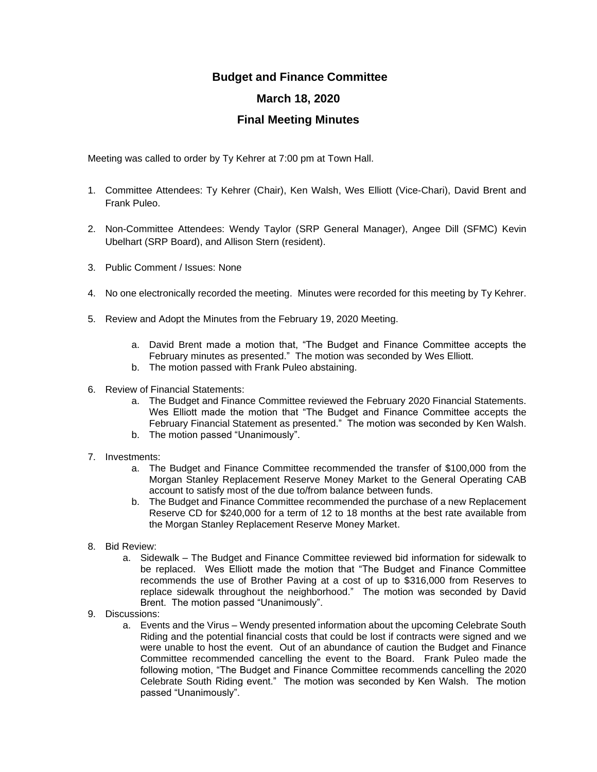## **Budget and Finance Committee**

## **March 18, 2020**

## **Final Meeting Minutes**

Meeting was called to order by Ty Kehrer at 7:00 pm at Town Hall.

- 1. Committee Attendees: Ty Kehrer (Chair), Ken Walsh, Wes Elliott (Vice-Chari), David Brent and Frank Puleo.
- 2. Non-Committee Attendees: Wendy Taylor (SRP General Manager), Angee Dill (SFMC) Kevin Ubelhart (SRP Board), and Allison Stern (resident).
- 3. Public Comment / Issues: None
- 4. No one electronically recorded the meeting. Minutes were recorded for this meeting by Ty Kehrer.
- 5. Review and Adopt the Minutes from the February 19, 2020 Meeting.
	- a. David Brent made a motion that, "The Budget and Finance Committee accepts the February minutes as presented." The motion was seconded by Wes Elliott.
	- b. The motion passed with Frank Puleo abstaining.
- 6. Review of Financial Statements:
	- a. The Budget and Finance Committee reviewed the February 2020 Financial Statements. Wes Elliott made the motion that "The Budget and Finance Committee accepts the February Financial Statement as presented." The motion was seconded by Ken Walsh.
	- b. The motion passed "Unanimously".
- 7. Investments:
	- a. The Budget and Finance Committee recommended the transfer of \$100,000 from the Morgan Stanley Replacement Reserve Money Market to the General Operating CAB account to satisfy most of the due to/from balance between funds.
	- b. The Budget and Finance Committee recommended the purchase of a new Replacement Reserve CD for \$240,000 for a term of 12 to 18 months at the best rate available from the Morgan Stanley Replacement Reserve Money Market.
- 8. Bid Review:
	- a. Sidewalk The Budget and Finance Committee reviewed bid information for sidewalk to be replaced. Wes Elliott made the motion that "The Budget and Finance Committee recommends the use of Brother Paving at a cost of up to \$316,000 from Reserves to replace sidewalk throughout the neighborhood." The motion was seconded by David Brent. The motion passed "Unanimously".
- 9. Discussions:
	- a. Events and the Virus Wendy presented information about the upcoming Celebrate South Riding and the potential financial costs that could be lost if contracts were signed and we were unable to host the event. Out of an abundance of caution the Budget and Finance Committee recommended cancelling the event to the Board. Frank Puleo made the following motion, "The Budget and Finance Committee recommends cancelling the 2020 Celebrate South Riding event." The motion was seconded by Ken Walsh. The motion passed "Unanimously".